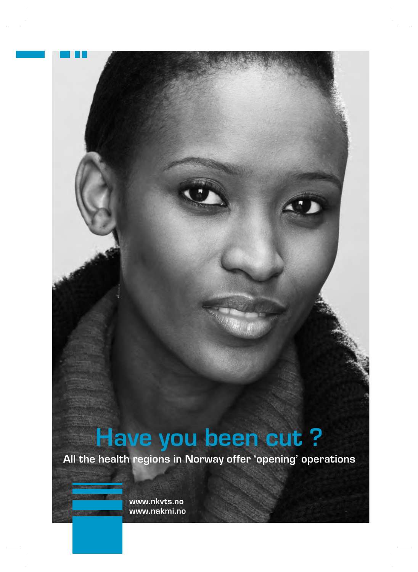# **Have you been cut ?**

**All the health regions in Norway offer 'opening' operations**

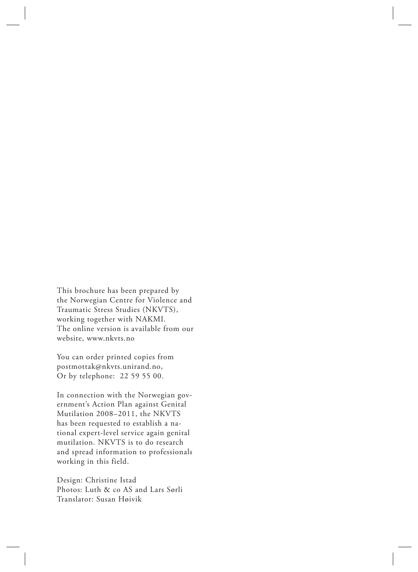This brochure has been prepared by the Norwegian Centre for Violence and Traumatic Stress Studies (NKVTS), working together with NAKMI. The online version is available from our website, www.nkvts.no

You can order printed copies from postmottak@nkvts.unirand.no, Or by telephone: 22 59 55 00.

In connection with the Norwegian government's Action Plan against Genital Mutilation 2008–2011, the NKVTS has been requested to establish a national expert-level service again genital mutilation. NKVTS is to do research and spread information to professionals working in this field.

Design: Christine Istad Photos: Luth & co AS and Lars Sørli Translator: Susan Høivik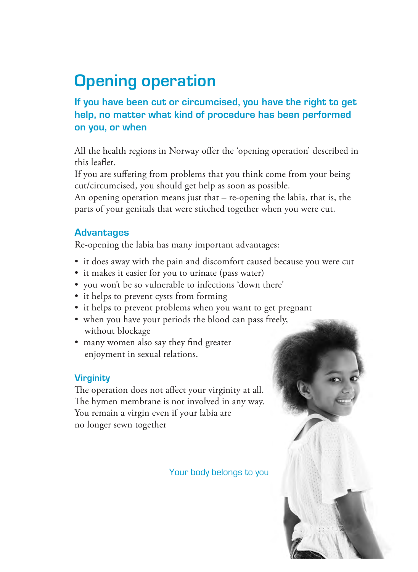## **Opening operation**

### **If you have been cut or circumcised, you have the right to get help, no matter what kind of procedure has been performed on you, or when**

All the health regions in Norway offer the 'opening operation' described in this leaflet.

If you are suffering from problems that you think come from your being cut/circumcised, you should get help as soon as possible.

An opening operation means just that – re-opening the labia, that is, the parts of your genitals that were stitched together when you were cut.

### **Advantages**

Re-opening the labia has many important advantages:

- it does away with the pain and discomfort caused because you were cut
- it makes it easier for you to urinate (pass water)
- you won't be so vulnerable to infections 'down there'
- it helps to prevent cysts from forming
- it helps to prevent problems when you want to get pregnant
- when you have your periods the blood can pass freely, without blockage
- many women also say they find greater enjoyment in sexual relations.

### **Virginity**

The operation does not affect your virginity at all. The hymen membrane is not involved in any way. You remain a virgin even if your labia are no longer sewn together

Your body belongs to you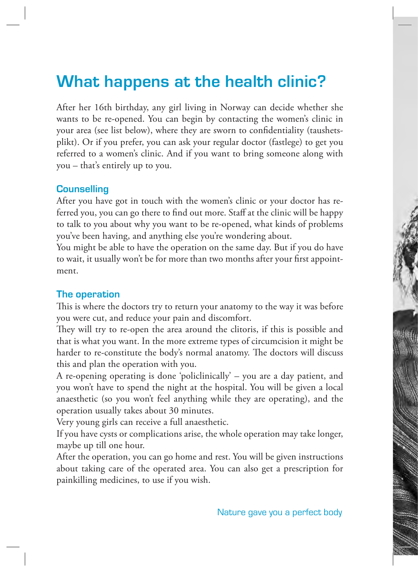### **What happens at the health clinic?**

After her 16th birthday, any girl living in Norway can decide whether she wants to be re-opened. You can begin by contacting the women's clinic in your area (see list below), where they are sworn to confidentiality (taushetsplikt). Or if you prefer, you can ask your regular doctor (fastlege) to get you referred to a women's clinic. And if you want to bring someone along with you – that's entirely up to you.

#### **Counselling**

After you have got in touch with the women's clinic or your doctor has referred you, you can go there to find out more. Staff at the clinic will be happy to talk to you about why you want to be re-opened, what kinds of problems you've been having, and anything else you're wondering about.

You might be able to have the operation on the same day. But if you do have to wait, it usually won't be for more than two months after your first appointment.

### **The operation**

This is where the doctors try to return your anatomy to the way it was before you were cut, and reduce your pain and discomfort.

They will try to re-open the area around the clitoris, if this is possible and that is what you want. In the more extreme types of circumcision it might be harder to re-constitute the body's normal anatomy. The doctors will discuss this and plan the operation with you.

A re-opening operating is done 'policlinically' – you are a day patient, and you won't have to spend the night at the hospital. You will be given a local anaesthetic (so you won't feel anything while they are operating), and the operation usually takes about 30 minutes.

Very young girls can receive a full anaesthetic.

If you have cysts or complications arise, the whole operation may take longer, maybe up till one hour.

After the operation, you can go home and rest. You will be given instructions about taking care of the operated area. You can also get a prescription for painkilling medicines, to use if you wish.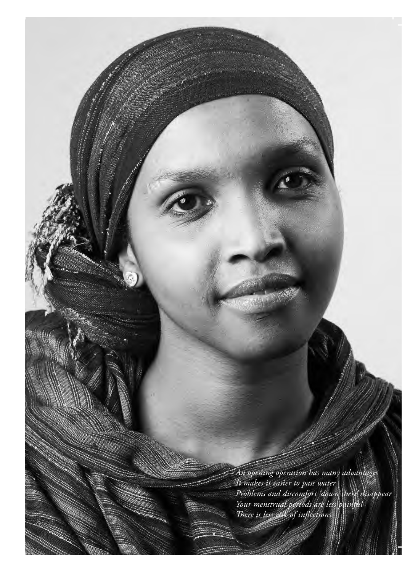*An opening operation has many advantages It makes it easier to pass water Problems and discomfort 'down there' disappear Your menstrual periods are less painful There is less risk of inflections*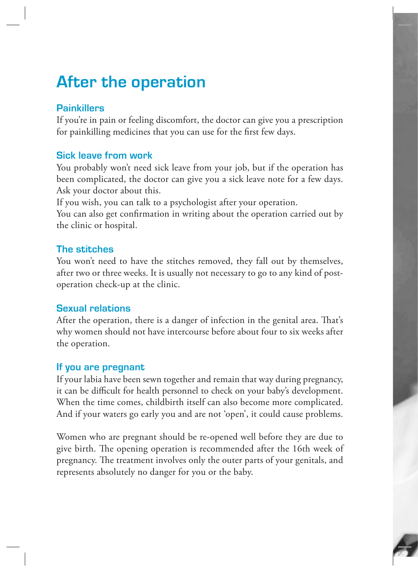### **After the operation**

### **Painkillers**

If you're in pain or feeling discomfort, the doctor can give you a prescription for painkilling medicines that you can use for the first few days.

### **Sick leave from work**

You probably won't need sick leave from your job, but if the operation has been complicated, the doctor can give you a sick leave note for a few days. Ask your doctor about this.

If you wish, you can talk to a psychologist after your operation.

You can also get confirmation in writing about the operation carried out by the clinic or hospital.

### **The stitches**

You won't need to have the stitches removed, they fall out by themselves, after two or three weeks. It is usually not necessary to go to any kind of postoperation check-up at the clinic.

### **Sexual relations**

After the operation, there is a danger of infection in the genital area. That's why women should not have intercourse before about four to six weeks after the operation.

### **If you are pregnant**

If your labia have been sewn together and remain that way during pregnancy, it can be difficult for health personnel to check on your baby's development. When the time comes, childbirth itself can also become more complicated. And if your waters go early you and are not 'open', it could cause problems.

Women who are pregnant should be re-opened well before they are due to give birth. The opening operation is recommended after the 16th week of pregnancy. The treatment involves only the outer parts of your genitals, and represents absolutely no danger for you or the baby.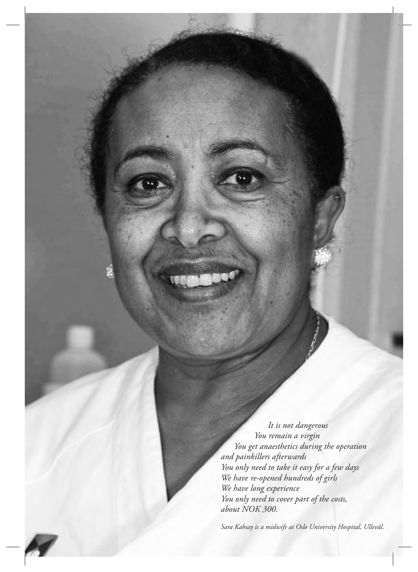*It is not dangerous You remain a virgin You get anaesthetics during the operation and painkillers afterwards You only need to take it easy for a few days We have re-opened hundreds of girls We have long experience You only need to cover part of the costs, about NOK 300.*

*Sara Kahsay is a midwife at Oslo University Hospital, Ullevål.*